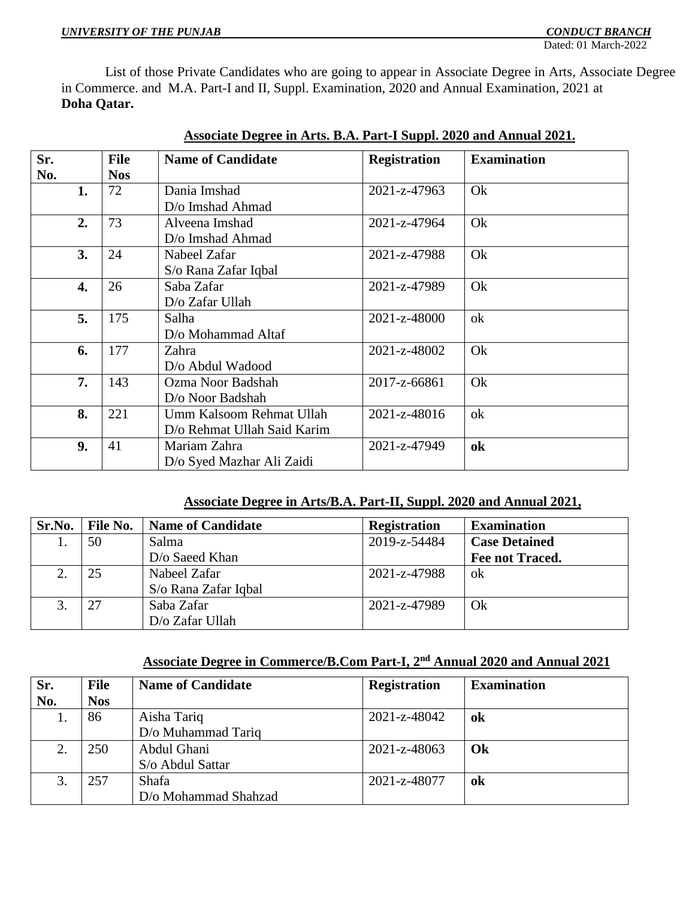Dated: 01 March-2022

 List of those Private Candidates who are going to appear in Associate Degree in Arts, Associate Degree in Commerce. and M.A. Part-I and II, Suppl. Examination, 2020 and Annual Examination, 2021 at **Doha Qatar.**

| Sr.<br>No. | <b>File</b><br><b>Nos</b> | <b>Name of Candidate</b>    | <b>Registration</b> | <b>Examination</b> |
|------------|---------------------------|-----------------------------|---------------------|--------------------|
|            |                           |                             |                     | Ok                 |
| 1.         | 72                        | Dania Imshad                | 2021-z-47963        |                    |
|            |                           | D/o Imshad Ahmad            |                     |                    |
| 2.         | 73                        | Alveena Imshad              | 2021-z-47964        | Ok                 |
|            |                           | D/o Imshad Ahmad            |                     |                    |
| 3.         | 24                        | Nabeel Zafar                | 2021-z-47988        | Ok                 |
|            |                           | S/o Rana Zafar Iqbal        |                     |                    |
| 4.         | 26                        | Saba Zafar                  | 2021-z-47989        | Ok                 |
|            |                           | $D$ /o Zafar Ullah          |                     |                    |
| 5.         | 175                       | Salha                       | 2021-z-48000        | ok                 |
|            |                           | D/o Mohammad Altaf          |                     |                    |
| 6.         | 177                       | Zahra                       | 2021-z-48002        | Ok                 |
|            |                           | D/o Abdul Wadood            |                     |                    |
| 7.         | 143                       | Ozma Noor Badshah           | 2017-z-66861        | Ok                 |
|            |                           | D/o Noor Badshah            |                     |                    |
| 8.         | 221                       | Umm Kalsoom Rehmat Ullah    | 2021-z-48016        | ok                 |
|            |                           | D/o Rehmat Ullah Said Karim |                     |                    |
| 9.         | 41                        | Mariam Zahra                | 2021-z-47949        | ok                 |
|            |                           | D/o Syed Mazhar Ali Zaidi   |                     |                    |

## **Associate Degree in Arts. B.A. Part-I Suppl. 2020 and Annual 2021.**

### **Associate Degree in Arts/B.A. Part-II, Suppl. 2020 and Annual 2021,**

| Sr.No. | File No. | <b>Name of Candidate</b> | <b>Registration</b> | <b>Examination</b>   |
|--------|----------|--------------------------|---------------------|----------------------|
|        | 50       | Salma                    | 2019-z-54484        | <b>Case Detained</b> |
|        |          | $D$ o Saeed Khan         |                     | Fee not Traced.      |
|        | 25       | Nabeel Zafar             | 2021-z-47988        | ok                   |
|        |          | S/o Rana Zafar Iqbal     |                     |                      |
|        | 27       | Saba Zafar               | 2021-z-47989        | Ok                   |
|        |          | D/o Zafar Ullah          |                     |                      |

# **Associate Degree in Commerce/B.Com Part-I, 2nd Annual 2020 and Annual 2021**

| Sr. | <b>File</b> | <b>Name of Candidate</b> | <b>Registration</b> | <b>Examination</b> |
|-----|-------------|--------------------------|---------------------|--------------------|
| No. | <b>Nos</b>  |                          |                     |                    |
|     | 86          | Aisha Tariq              | 2021-z-48042        | ok                 |
|     |             | D/o Muhammad Tariq       |                     |                    |
| 2.  | 250         | Abdul Ghani              | 2021-z-48063        | Ok                 |
|     |             | S/o Abdul Sattar         |                     |                    |
| 3.  | 257         | Shafa                    | 2021-z-48077        | ok                 |
|     |             | D/o Mohammad Shahzad     |                     |                    |